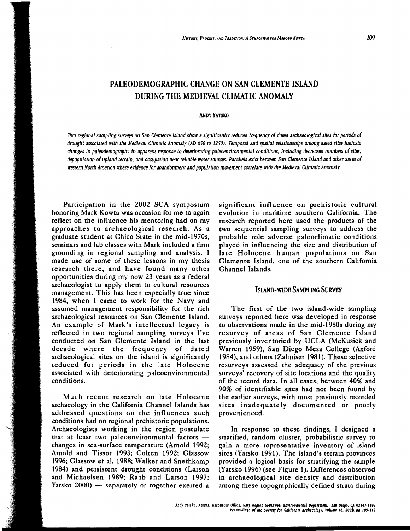# PALEODEMOGRAPHIC CHANGE ON SAN CLEMENTE ISLAND DURING THE MEDIEVAL CLIMATIC ANOMALY

### **ANDY YATSKO**

*Two reglonal sampling surveys on* San *Clemente Island show* a *significantly reduced frequency of dated archaeological sites for periods of*  drought associated with the Medieval Climatic Anomaly (AD 650 to 1250). Temporal and spatial relationships among dated sites indicate *changes in paleodemography in apparent response to deteriorating paleoenvironmental conditions, including decreased numbers of sites, depopulation of upland terrain, and occupation near reliable water sources. Parallels exist between* San *Clemente Island and other areas of western North America where evidence for abandonment and population movement correlate with the Medieval Climatic Anomaly.* 

Participation in the 2002 SCA symposium honoring Mark Kowta was occasion for me to again reflect on the influence his mentoring had on my approaches to archaeological research. As a graduate student at Chico State in the mid~ 1970s, seminars and lab classes with Mark included a firm grounding in regional sampling and analysis. I made use of some of these lessons in my thesis research there, and have found many other opportunities during my now 23 years as a federal archaeologist to apply them to cultural resources management. This has been especially true since 1984, when I came to work for the Navy and assumed management responsibility for the rich archaeological resources on San Clemente Island. An example of Mark's intellectual legacy is reflected in two regional sampling surveys I've conducted on San Clemente Island in the last decade where the frequency of dated archaeological sites on the island is significantly reduced for periods in the late Holocene associated with deteriorating paleoenvironmental conditions.

Much recent research on late Holocene archaeology in the California Channel Islands has addressed questions on the influences such conditions had on regional prehistoric populations. Archaeologists working in the region postulate that at least two paleoenvironmental factors changes in sea-surface temperature (Arnold 1992; Arnold and Tissot 1993; Colten 1992; Glassow 1996; Glassow et al. 1988; Walker and Snethkamp 1984) and persistent drought conditions (Larson and Michaelsen 1989; Raab and Larson 1997; Yatsko  $2000$  — separately or together exerted a

significant influence on prehistoric cultural evolution in maritime southern California. The research reported here used the products of the two sequential sampling surveys to address the probable role adverse paleoclimatic conditions played in influencing the size and distribution of late Holocene human populations on San Clemente Island, one of the southern California Channel Islands.

# ISLAND-WIDE SAMPUNG SURVEY

The first of the two island-wide sampling surveys reported here was developed in response to observations made in the mid-1980s during my resurvey of areas of San Clemente Island previously inventoried by UCLA (McKusick and Warren 1959), San Diego Mesa College (Axford 1984), and others (Zahniser 1981). These selective resurveys assessed the adequacy of the previous surveys' recovery of site locations and the quality of the record data. In all cases, between 40% and 90% of identifiable sites had not been found by the earlier surveys, with most previously recorded sites inadequately documented or poorly provenienced.

In response to these findings, I designed a stratified, random cluster, probabilistic survey to gain a more representative inventory of island sites (Yatsko 1991). The island's terrain provinces provided a logical basis for stratifying the sample (Yatsko 1996) (see Figure 1). Differences observed in archaeological site density and distribution among these topographically defined strata during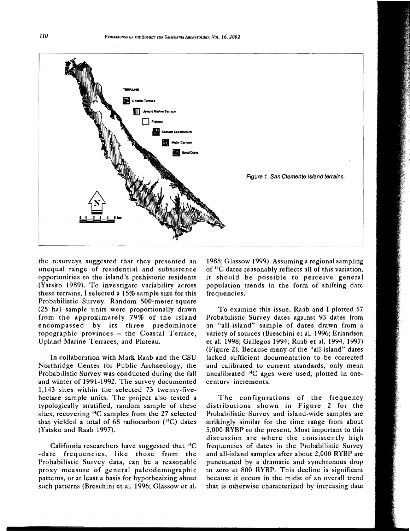

the resurveys suggested that they presented an unequal range of residential and subsistence opportunities to the island's prehistoric residents (Yatsko 1989). To investigate variability across these terrains, I selected a 15% sample size for this Probabilistic Survey. Random 500-meter-square (25 ha) sample units were proportionally drawn from the approximately 79% of the island encompassed by its three predominate topographic provinces - the Coastal Terrace, Upland Marine Terraces, and Plateau.

In collaboration with Mark Raab and the CSU Northridge Center for Public Archaeology, the Probabilistic Survey was conducted during the fall and winter of 1991-1992. The survey documented 1,143 sites within the selected 73 twenty-fivehectare sample units. The project also tested a typologically stratified, random sample of these sites, recovering 14C samples from the 27 selected that yielded a total of 68 radiocarbon ('4C) dates (Yatsko and Raab 1997).

California researchers have suggested that 14C -date frequencies, like those from the Probabilistic Survey data, can be a reasonable proxy measure of general paleodemographic patterns, or at least a basis for hypothesizing about such patterns (Breschini et al. 1996; Glassow et al.

1988; Glassow 1999), Assuming a regional sampling of 14C dates reasonably reflects all of this variation, it should be possible to perceive general population trends in the form of shifting date frequencies.

To examine this issue, Raab and I plotted 57 Probabilistic Survey dates against 93 dates from an "all-island" sample of dates drawn from a variety of sources (Breschini et al. 1996; Erlandson et al. 1998; Gallegos 1994; Raab et al. 1994, 1997) (Figure 2). Because many of the "all-island" dates lacked sufficient documentation to be corrected and calibrated to current standards, only mean uncalibrated 14C ages were used, plotted in onecentury increments.

The configurations of the frequency distributions shown in Figure 2 for the Probabilistic Survey and island-wide samples are strikingly similar for the time range from about 5,000 RYBP to the present. Most important to this discussion are where the consistently high frequencies of dates in the Probabilistic Survey and all-island samples after about 2,000 RYBP are punctuated by a dramatic and synchronous drop to zero at 800 RYBP. This decline is significant because it occurs in the midst of an overall trend that is otherwise characterized by increasing date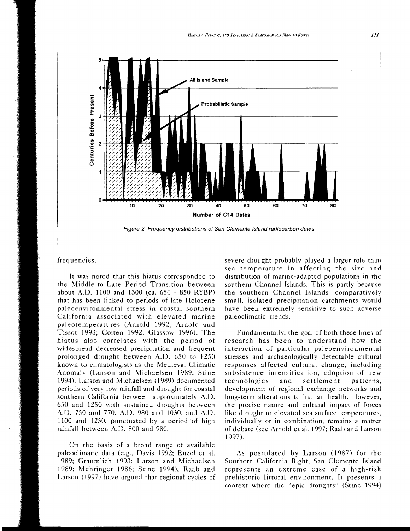

## frequencies.

It was noted that this hiatus corresponded to the Middle-to-Late Period Transition between about A.D. 1100 and 1300 (ca.  $650 - 850$  RYBP) that has been linked to periods of late Holocene paleoenvironmental stress in coastal southern California associated with elevated marine paleotemperatures (Arnold 1992; Arnold and Tissot 1993; Colten 1992; Glassow 1996). The hiatus also correlates with the period of widespread decreased precipitation and frequent prolonged drought between A.D. 650 to 1250 known to climatologists as the Medieval Climatic Anomaly (Larson and Michaelsen 1989; Stine 1994). Larson and Michaelsen (1989) documented periods of very low rainfall and drought for coastal southern California between approximately A.D. 650 and 1250 with sustained droughts between AD. 750 and 770, AD. 980 and 1030, and A.D. 1100 and 1250, punctuated by a period of high rainfall between AD. 800 and 980.

On the basis of a broad range of available paleoclimatic data (e.g., Davis 1992; Enzel et al. 1989; Graumlich 1993; Larson and Michaelsen 1989; Mehringer 1986; Stine 1994), Raab and Larson (1997) have argued that regional cycles of severe drought probably played a larger role than sea temperature in affecting the size and distribution of marine-adapted populations in the southern Channel Islands. This is partly because the southern Channel Islands' comparatively small, isolated precipitation catchments would have been extremely sensitive to such adverse paleoclimatic trends.

Fundamentally, the goal of both these lines of research has been to understand how the interaction of particular paleoenvironmental stresses and archaeologically detectable cultural responses affected cultural change, including subsistence intensification, adoption of new technologies and settlement patterns, development of regional exchange networks and long-term alterations to human health. However, the precise nature and cultural impact of forces like drought or elevated sea surface temperatures, individually or in combination, remains a matter of debate (see Arnold et al. 1997; Raab and Larson 1997).

As postulated by Larson (1987) for the Southern California Bight, San Clemente Island represents an extreme case of a 'high-risk prehistoric littoral environment. It presents a context where the "epic droughts" (Stine 1994)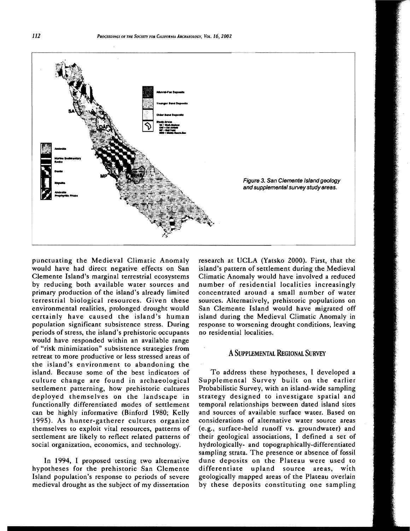

punctuating the Medieval Climatic Anomaly would have had direct negative effects on San Clemente Island's marginal terrestrial ecosystems by reducing both available water sources and primary production of the island's already limited terrestrial biological resources. Given these environmental realities, prolonged drought would certainly have caused the island's human population significant subsistence stress. During periods of stress, the island's prehistoric occupants would have responded within an available range of "risk minimization" subsistence strategies from retreat to more productive or less stressed areas of the island's environment to abandoning the island. Because some of the best indicators of culture change are found in archaeological settlement patterning, how prehistoric cultures deployed themselves on the landscape in functionally differentiated modes of settlement can be highly informative (Binford 1980; Kelly 1995). As hunter-gatherer cultures organize themselves to exploit vital resources, patterns of settlement are likely to reflect related patterns of social organization, economics, and technology.

In 1994, I proposed testing two alternative hypotheses for the prehistoric San Clemente Island population's response to periods of severe medieval drought as the subject of my dissertation research at UCLA (Yatsko 2000). First, that the island's pattern of settlement during the Medieval Climatic Anomaly would have involved a reduced number of residential localities increasingly concentrated around a small number of water sources. Alternatively, prehistoric populations on San Clemente Island would have migrated off island during the Medieval Climatic Anomaly in response to worsening drought conditions, leaving no residential localities.

# ASUPPLEMENTAL REGIONAL SURVEY

To address these hypotheses, I developed a Supplemental Survey built on the earlier Probabilistic Survey, with an island-wide sampling strategy designed to investigate spatial and temporal relationships between dated island sites and sources of available surface water. Based on considerations of alternative water source areas (e.g., surface-held runoff vs. groundwater) and their geological associations, I defined a set of hydrologically- and topographically-differentiated sampling strata. The presence or absence of fossil dune deposits on the Plateau were used to differentiate upland source areas, with geologically mapped areas of the Plateau overlain by these deposits constituting one sampling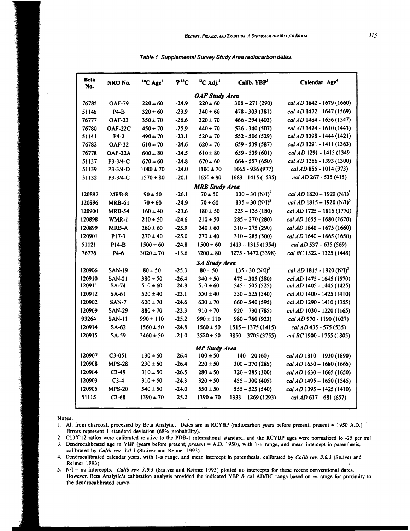| <b>Beta</b><br>No.    | NRO No.       | $^{14}C$ Age <sup>1</sup> | $2^{13}C$ | $^{13}$ C Adj. <sup>2</sup> | Calib. YBP <sup>3</sup>       | Calendar Age <sup>4</sup>               |
|-----------------------|---------------|---------------------------|-----------|-----------------------------|-------------------------------|-----------------------------------------|
| <b>OAF Study Area</b> |               |                           |           |                             |                               |                                         |
| 76785                 | <b>OAF-79</b> | $220 \pm 60$              | $-24.9$   | $220 \pm 60$                | $308 - 271(290)$              | cal AD 1642 - 1679 (1660)               |
| 51146                 | P4-B          | $320 \pm 60$              | $-23.9$   | $340 \pm 60$                | 478 - 303 (381)               | cal AD 1472 - 1647 (1569)               |
| 76777                 | <b>OAF-23</b> | $350 \pm 70$              | $-26.6$   | $320 \pm 70$                | 466 - 294 (403)               | cal AD 1484 - 1656 (1547)               |
| 76780                 | OAF-22C       | $450 \pm 70$              | $-25.9$   | $440 \pm 70$                | $526 - 340(507)$              | cal AD 1424 - 1610 (1443)               |
| 51141                 | $P4-2$        | $490 \pm 70$              | $-23.1$   | $520 \pm 70$                | 552 - 506 (529)               | cal AD 1398 - 1444 (1421)               |
| 76782                 | <b>OAF-32</b> | $610 \pm 70$              | $-24.6$   | $620 \pm 70$                | $659 - 539(587)$              | cal AD 1291 - 1411 (1363)               |
| 76778                 | OAF-22A       | $600 \pm 80$              | $-24.5$   | $610 \pm 80$                | 659 - 539 (601)               | cal AD 1291 - 1415 (1349                |
| 51137                 | P3-3/4-C      | $670 \pm 60$              | $-24.8$   | $670 \pm 60$                | $664 - 557(650)$              | cal AD 1286 - 1393 (1300)               |
| 51139                 | $P3-3/4-D$    | $1080 \pm 70$             | $-24.0$   | $1100 \pm 70$               | $1065 - 936(977)$             | cal AD 885 - 1014 (973)                 |
| 51132                 | $P3-3/4-C$    | $1570 \pm 80$             | $-20.1$   | $1650 \pm 80$               | 1683 - 1415 (1535)            | cal AD 267 - 535 (415)                  |
| <b>MRB Study Area</b> |               |                           |           |                             |                               |                                         |
| 120897                | MRB-8         | $90 \pm 50$               | $-26.1$   | $70 \pm 50$                 | $130 - 30$ (N/I) <sup>5</sup> | cal AD 1820 - 1920 (N/I) <sup>5</sup>   |
| 120896                | <b>MRB-61</b> | $70 \pm 60$               | $-24.9$   | $70 \pm 60$                 | $135 - 30$ (N/I) <sup>5</sup> | cal AD $1815 - 1920$ (N/I) <sup>5</sup> |
| 120900                | <b>MRB-54</b> | $160 \pm 40$              | $-23.6$   | $180 \pm 50$                | $225 - 135(180)$              | cal AD 1725 - 1815 (1770)               |
| 120898                | WMR-1         | $210 \pm 50$              | $-24.6$   | $210 \pm 50$                | $285 - 270(280)$              | cal AD $1655 - 1680(1670)$              |
| 120899                | MRB-A         | $260 \pm 60$              | $-25.9$   | $240 \pm 60$                | $310 - 275(290)$              | cal AD 1640 - 1675 (1660)               |
| 120901                | P17-3         | $270 \pm 40$              | $-25.0$   | $270 \pm 40$                | $310 - 285(300)$              | cal AD 1640 - 1665 (1650)               |
| 51121                 | $PI4-B$       | $1500 \pm 60$             | $-24.8$   | $1500 \pm 60$               | $1413 - 1315(1354)$           | cal $AD$ 537 – 635 (569)                |
| 76776                 | P4-6          | $3020 \pm 70$             | $-13.6$   | $3200 \pm 80$               | 3275 - 3472 (3398)            | cal BC 1522 - 1325 (1448)               |
| <b>SA Study Area</b>  |               |                           |           |                             |                               |                                         |
| 120906                | <b>SAN-19</b> | $80 \pm 50$               | $-25.3$   | $80 \pm 50$                 | $135 - 30$ (N/I) <sup>5</sup> | cal AD 1815 - 1920 (N/I) <sup>5</sup>   |
| 120910                | <b>SAN-21</b> | $380 \pm 50$              | $-26.4$   | $340 \pm 50$                | $475 - 305(380)$              | cal AD 1475 - 1645 (1570)               |
| 120911                | <b>SA-74</b>  | $510 \pm 60$              | $-24.9$   | $510 \pm 60$                | $545 - 505(525)$              | cal AD 1405 - 1445 (1425)               |
| 120912                | SA-61         | $520 \pm 40$              | $-23.1$   | $550 \pm 40$                | $550 - 525(540)$              | cal AD 1400 - 1425 (1410)               |
| 120902                | <b>SAN-7</b>  | $620 \pm 70$              | $-24.6$   | $630 \pm 70$                | $660 - 540(595)$              | cal AD 1290 - 1410 (1355)               |
| 120909                | <b>SAN-29</b> | $880 \pm 70$              | $-23.3$   | $910 \pm 70$                | $920 - 730(785)$              | cal AD 1030 - 1220 (1165)               |
| 93264                 | SAN-11        | $990 \pm 110$             | $-25.2$   | $990 \pm 110$               | $980 - 760(923)$              | cal AD 970 - 1190 (1027)                |
| 120914                | SA-62         | $1560 \pm 50$             | $-24.8$   | $1560 \pm 50$               | $1515 - 1375(1415)$           | cal AD 435 - 575 (535)                  |
| 120915                | <b>SA-59</b>  | $3460 \pm 50$             | $-21.0$   | $3520 \pm 50$               | 3850 - 3705 (3755)            | cal BC 1900 - 1755 (1805)               |
| <b>MP Study Area</b>  |               |                           |           |                             |                               |                                         |
| 120907                | $C3-051$      | $130 \pm 50$              | $-26.4$   | $100 \pm 50$                | $140 - 20(60)$                | cal AD $1810 - 1930$ (1890)             |
| 120908                | <b>MPS-28</b> | $230 \pm 50$              | $-26.4$   | $220 \pm 50$                | $300 - 270(285)$              | cal AD 1650 - 1680 (1665)               |
| 120904                | $C3-49$       | $310 \pm 50$              | $-26.5$   | $280 \pm 50$                | $320 - 285(300)$              | cal $AD$ 1630 - 1665 (1650)             |
| 120903                | $C3-4$        | $310 \pm 50$              | $-24.3$   | $320 \pm 50$                | $455 - 300(405)$              | cal AD $1495 - 1650$ (1545)             |
| 120905                | <b>MPS-20</b> | $540 \pm 50$              | $-24.0$   | $550 \pm 50$                | $555 - 525(540)$              | cal $AD$ 1395 - 1425 (1410)             |
| 51115                 | $C3-68$       | $1390 \pm 70$             | $-25.2$   | $1390 \pm 70$               | $1333 - 1269(1293)$           | cal $AD 617 - 681 (657)$                |
|                       |               |                           |           |                             |                               |                                         |

Table 1. Supplemental Survey Study Area radiocarbon dates.

Notes:

2. C13/C12 ratios were calibrated relative to the PDB-1 international standard, and the RCYBP ages were normalized to -25 per mil

3. Dendrocalibrated age in YBP (years before present; present = A.D. 1950), with 1-s range, and mean intercept in parenthesis; calibrated by Calib rev. 3.0.3 (Stuiver and Reimer 1993)

4. Dendrocalibrated calendar years, with 1-s range, and mean intercept in parenthesis; calibrated by Calib rev. 3.0.3 (Stuiver and Reimer 1993)

5.  $N/l =$  no intercepts. *Calib rev.* 3.0.3 (Stuiver and Reimer 1993) plotted no intercepts for these recent conventional dates. However, Beta Analytic's calibration analysis provided the indicated YBP & cal AD/BC range based on -s range for proximity to the dendrocalibrated curve.

<sup>1.</sup> All from charcoal, processed by Beta Analytic. Dates are in RCYBP (radiocarbon years before present; present = 1950 A.D.) Errors represent 1 standard deviation (68% probability).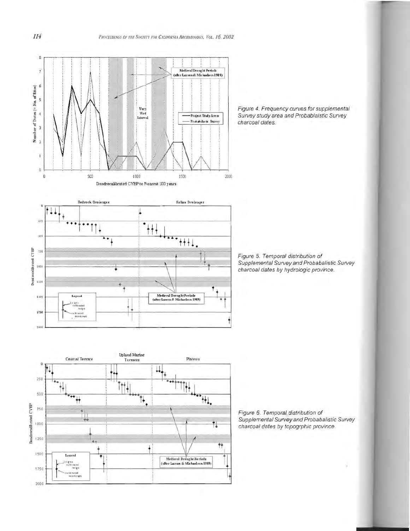

Figure 4. Frequency curves for supplemental<br>Survey study area and Probablaistic Survey charcoal dates.



**Upland Marine**<br>Terraces

Plateau

Coastal Terrace

Dendrocalibrated CYBP

Figure 5. Temporal distribution of<br>Supplemental Survey and Probabalistic Survey<br>charcoal dates by hydrologic province.



Figure 6. Temporal distribution of Supplemental Survey and Probabalistic Survey charcoal dates by topogrphic province.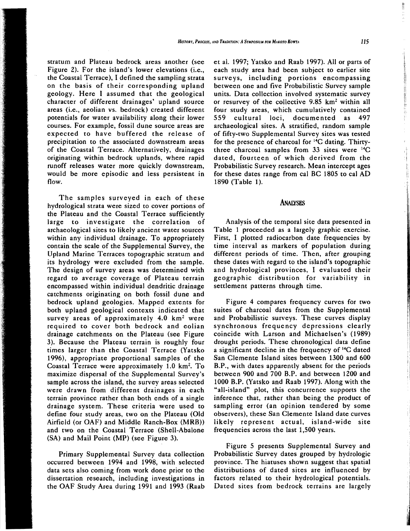stratum and Plateau bedrock areas another (see Figure 2). For the island's lower elevations (i.e., the Coastal Terrace), I defined the sampling strata on the basis of their corresponding upland geology. Here I assumed that the geological character of different drainages' upland source areas (i.e., aeolian vs. bedrock) created different potentials for water availability along their lower courses. For example, fossil dune source areas are expected to have buffered the release of precipitation to the associated downstream areas of the Coastal Terrace. Alternatively, drainages originating within bedrock uplands, where rapid runoff releases water more quickly downstream, would be more episodic and less persistent in flow.

The samples surveyed in each of these hydrological strata were sized to cover portions of the Plateau and the Coastal Terrace sufficiently large to investigate the correlation of archaeological sites to likely ancient water sources within any individual drainage. To appropriately contain the scale of the Supplemental Survey, the Upland Marine Terraces topographic stratum and its hydrology were excluded from the sample. The design of survey areas was determined with regard to average coverage of Plateau terrain encompassed within individual dendritic drainage catchments originating on both fossil dune and bedrock upland geologies. Mapped extents for both upland geological contexts indicated that survey areas of approximately  $4.0 \text{ km}^2$  were required to cover both bedrock and eolian drainage catchments on the Plateau (see Figure 3). Because the Plateau terrain is roughly four times larger than the Coastal Terrace (Yatsko 1996), appropriate proportional samples of the Coastal Terrace were approximately  $1.0 \text{ km}^2$ . To maximize dispersal of the Supplemental Survey's sample across the island, the survey areas selected were drawn from different drainages in each terrain province rather than both ends of a single drainage system. These criteria were used to define four study areas, two on the Plateau (Old Airfield (or OAF) and Middle Ranch-Box (MRB)) and two on the Coastal Terrace (Shell-Abalone (SA) and Mail Point (MP) (see Figure 3).

Primary Supplemental Survey data collection occurred between 1994 and 1998, with selected data sets also coming from work done prior to the dissertation research, including investigations in the OAF Study Area during 1991 and 1993 (Raab et al. 1997; Yatsko and Raab 1997). All or parts of each study area had been subject to earlier site surveys, including portions encompassing between one and five Probabilistic Survey sample units. Data collection involved systematic survey or resurvey of the collective  $9.85 \text{ km}^2$  within all four study areas, which cumulatively contained 559 cultural loci, documented as 497 archaeological sites. A stratified, random sample of fifty-two Supplemental Survey sites was tested for the presence of charcoal for 14C dating. Thirtythree charcoal samples from  $33$  sites were  $^{14}C$ dated, fourteen of which derived from the Probabilistic Survey research. Mean intercept ages for these dates range from cal BC 1805 to cal AD 1890 (Table 1).

#### ANALYSES

Analysis of the temporal site data presented in Table 1 proceeded as a largely graphic exercise. First, I plotted radiocarbon date frequencies by time interval as markers of population during different periods of time. Then, after grouping these dates with regard to the island's topographic and hydrological provinces, I evaluated their geographic distribution for variability in settlement patterns through time.

Figure 4 compares frequency curves for two suites of charcoal dates from the Supplemental and Probabilistic surveys. These curves display synchronous frequency depressions clearly coincide with Larson and Michaelsen's (1989) drought periods. These chronological data define a significant decline in the frequency of 14C dated San Clemente Island sites between 1300 and 600 B.P., with dates apparently absent for the periods between 900 and 700 B.P. and between 1200 and 1000 B.P. (Yatsko and Raab 1997). Along with the "all-island" plot, this concurrence supports the inference that, rather than being the product of sampling error (an opinion tendered by some observers), these San Clemente Island date curves likely represent actual, island-wide site frequencies across the last 1,500 years.

Figure 5 presents Supplemental Survey and Probabilistic Survey dates grouped by hydrologic province. The hiatuses shown suggest that spatial distributions of dated sites are influenced by factors related to their hydrological potentials. Dated sites from bedrock terrains are largely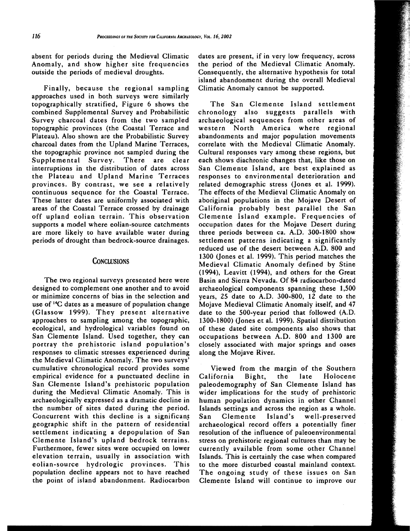absent for periods during the Medieval Climatic Anomaly, and show higher site frequencies outside the periods of medieval droughts.

Finally, because the regional sampling approaches used in both surveys were similarly topographically stratified, Figure 6 shows the combined Supplemental Survey and Probabilistic Survey charcoal dates from the two sampled topographic provinces (the Coastal Terrace and Plateau). Also shown are the Probabilistic Survey charcoal dates from the Upland Marine Terraces, the topographic province not sampled during the Supplemental Survey. There are clear interruptions in the distribution of dates across the Plateau and Upland Marine Terraces provinces. By contrast, we see a relatively continuous sequence for the Coastal Terrace. These latter dates are uniformly associated with areas of the Coastal Terrace crossed by drainage off upland eolian terrain. This observation supports a model where eolian-source catchments are more likely to have available water during periods of drought than bedrock-source drainages.

#### CONCLUSIONS

The two regional surveys presented here were designed to complement one another and to avoid or minimize concerns of bias in the selection and use of 14C dates as a measure of population change (Glassow 1999). They present alternative approaches to sampling among the topographic, ecological, and hydrological variables found on San Clemente Island. Used together, they can portray the prehistoric island population's responses to climatic stresses experienced during the Medieval Climatic Anomaly. The two surveys' cumulative chronological record provides some empirical evidence for a punctuated decline in San Clemente Island's prehistoric population during the Medieval Climatic Anomaly. This is archaeologically expressed as a dramatic decline in the number of sites dated during the period. Concurrent with this decline is a significant geographic shift in the pattern of residential settlement indicating a depopulation of San Clemente Island's upland bedrock terrains. Furthermore, fewer sites were occupied on lower elevation terrain, usually in association with eolian-source hydrologic provinces. This population decline appears not to have reached the point of island abandonment. Radiocarbon

dates are present, if in very low frequency, across the period of the Medieval Climatic Anomaly. Consequently, the alternative hypothesis for total island abandonment during the overall Medieval Climatic Anomaly cannot be supported.

The San Clemente Island settlement chronology also suggests parallels with archaeological sequences from other areas of western North America where regional abandonments and major population movements correlate with the Medieval Climatic Anomaly. Cultural responses vary among these regions, but each shows diachronic changes that, like those on San Clemente Island, are best explained as responses to environmental deterioration and related demographic stress (Jones et al. 1999). The effects of the Medieval Climatic Anomaly on aboriginal populations in the Mojave Desert of California probably best parallel the San Clemente Island example. Frequencies of occupation dates for the Mojave Desert during three periods between ca. A.D. 300-1800 show settlement patterns indicating a significantly reduced use of the desert between A.D. 800 and 1300 (Jones et al. 1999). This period matches the Medieval Climatic Anomaly defined by Stine (1994), Leavitt (1994), and others for the Great Basin and Sierra Nevada. Of 84 radiocarbon-dated archaeological components spanning these 1,500 years, 25 date to A.D. 300-800, 12 date to the Mojave Medieval Climatic Anomaly itself, and 47 date to the 500-year period that followed (A.D. 1300-1800) (Jones et al. 1999). Spatial distribution of these dated site components also shows that occupations between A.D. 800 and 1300 are closely associated with major springs and oases along the Mojave River.

Viewed from the margin of the Southern California Bight, the late Holocene paleodemography of San Clemente Island has wider implications for the study of prehistoric human population dynamics in other Channel Islands settings and across the region as a whole. San Clemente Island's well-preserved archaeological record offers a potentially finer resolution of the influence of paleoenvironmental stress on prehistoric regional cultures than may be currently available from some other Channel Islands. This is certainly the case when compared to the more disturbed coastal mainland context. The ongoing study of these issues on San Clemente Island will continue to improve our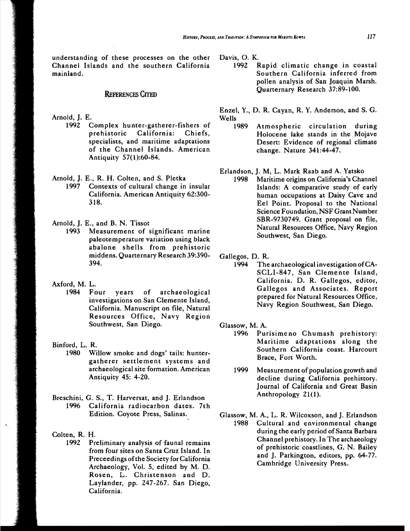understanding of these processes on the other Channel Islands and the southern California mainland.

# REFERENCES CITED

- Arnold, J. E.
	- 1992 Complex hunter-gatherer-fishers of prehistoric California: Chiefs, specialists, and maritime adaptations of the Channel Islands. American Antiquity 57(1 ):60-84.
- Arnold, J. E., R. H. Colten, and S. Pletka
	- 1997 Contexts of cultural change in insular California. American Antiquity 62:300 318.

Arnold, J. E., and B. N. Tissot

- 1993 Measurement of significant marine paleotemperature variation using bJack abalone shells from prehistoric middens. Quarternary Research 39:390 394.
- Axford, M. L.
	- 1984 Four years of archaeological investigations on San Clemente Island, California. Manuscript on file, Natural Resources Office, Navy Region Southwest, San Diego.
- Binford, L. R.
	- 1980 Willow smoke and dogs' tails: huntergatherer settlement systems and archaeological site formation. American Antiquity 45: 4-20.
- Breschini, G. S., T. Harversat, and J. Erlandson 1996 California radiocarbon dates. 7th Edition. Coyote Press, Salinas.
- Colten, R. H.
	- Preliminary analysis of faunal remains from four sites on Santa Cruz Island. In Preceedings ofthe Society for California Archaeology, Vol. 5, edited by M. D. Rosen, L. Christenson and D. Laylander, pp. 247-267. San Diego, California.

Davis, O. K.

1992 Rapid climatic change in coastal Southern California inferred from pollen analysis of San Joaquin Marsh. Quarternary Research 37:89-100.

Enzel, Y., D. R. Cayan, R. Y. Anderson, and S. G. Wells

1989 Atmospheric circulation during Holocene lake stands in the Mojave Desert: Evidence of regional climate change. Nature 341:44-47.

#### Erlandson, J. M, L. Mark Raab and A. Yatsko

1998 Maritime origins on California's Channel Islands: A comparative study of early human occupations at Daisy Cave and Eel Point. Proposal to the National Science Foundation, NSF Grant Number SBR-9730749. Grant proposal on file, Natural Resources Office, Navy Region Southwest, San Diego.

Gallegos, D. R.

1994 The archaeological investigation ofCA-SCLI-847, San Clemente Island, California. D. R. Gallegos, editor, Gallegos and Associates. Report prepared for Natural Resources Office, Navy Region Southwest, San Diego.

Glassow, M. A.

- 1996 Purisimeno Chumash prehistory: Maritime adaptations along the Southern California coast. Harcourt Brace, Fort Worth.
- 1999 Measurement of population growth and decline during California prehistory. Journal of California and Great Basin Anthropology 21(1).
- Glassow, M. A., L. R. Wilcoxson, and J. Erlandson 1988 Cultural and environmental change during the early period of Santa Barbara Channel prehistory. In The archaeology of prehistoric coastlines, G. N. Bailey and J. Parkington, editors, pp. 64-77. Cambridge University Press.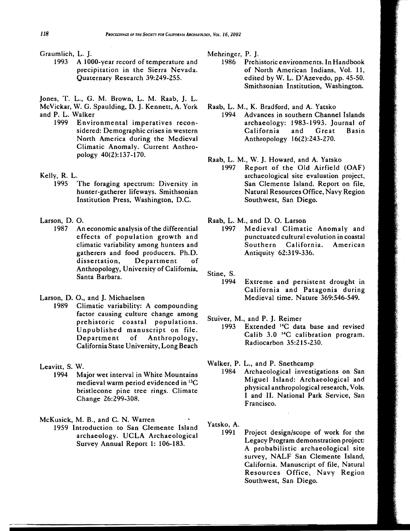- Graumlich, L. J.
	- 1993 A 1000-year record of temperature and precipitation in the Sierra Nevada. Quaternary Research 39:249-255.

Jones, T. L., G. M. Brown, L. M. Raab, J. L. McVickar, W. G. Spaulding, D. J. Kennett, A. York

- and P. L. Walker<br>1999 Envir
	- Environmental imperatives reconsidered: Demographic crises in western North America during the Medieval Climatic Anomaly. Current Anthropology 40(2):137-170.
- Kelly, R. L.
	- 1995 The foraging spectrum: Diversity in hunter-gatherer lifeways. Smithsonian Institution Press, Washington, D.C.
- Larson, D. O.
	- 1987 An economic analysis of the differential effects of population growth and climatic variability among hunters and gatherers and food producers. Ph.D. dissertation, Department of Anthropology, University of California, Santa Barbara.
- Larson, D.O., and J. Michaelsen
	- 1989 Climatic variability: A compounding factor causing culture change among prehistoric coastal populations. Unpublished manuscript on file. Department of Anthropology, California State University, Long Beach
- Leavitt, S. W.
	- 1994 Major wet interval in White Mountains medieval warm period evidenced in 13C bristlecone pine tree rings. Climate Change 26:299-308.

McKusick, M. B., and C. N. Warren

1959 Introduction to San Clemente Island archaeology. UCLA Archaeological Survey Annual Report 1: 106-183.

Mehringer, P. J.

- 1986 Prehistoric environments. In Handbook of North American Indians, Vol. 11, edited by W. L. D'Azevedo, pp. 45-50. Smithsonian Institution, Washington.
- Raab, L. M., K. Bradford, and A. Yatsko 1994 Advances in southern Channel Islands archaeology: 1983-1993. Journal of California and Great Basin Anthropology 16(2):243-270.
- Raab, L. M., W. J. Howard, and A. Yatsko 1997 Report of the Old Airfield (OAF) archaeological site evaluation project, San Clemente Island. Report on file, Natural Resources Office, Navy Region Southwest, San Diego.
- Raab, L. M., and D. O. Larson
	- 1997 Medieval Climatic Anomaly and punctuated cultural evolution in coastal Southern California. American Antiquity 62:319-336.
- Stine, S.
	- 1994 Extreme and persistent drought in California and Patagonia during Medieval time. Nature 369:546-549.
- Stuiver, M., and P. J. Reimer
	- 1993 Extended 14C data base and revised Calib 3.0 14C calibration program. Radiocarbon 35:215-230.
- Walker, P. L., and P. Snethcamp
	- 1984 Archaeological investigations on San Miguel Island: Archaeological and physical anthropological research, Vols. I and II. National Park Service, San Francisco.
- Yatsko, A.
	- Project design/scope of work for the Legacy Program demonstration project: A probabilistic archaeological site survey, NALF San Clemente Island, California. Manuscript of file, Natural Resources Office, Navy Region Southwest, San Diego.